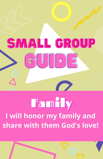

# Family I will honor my family and share with them God's love!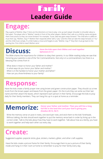## **Leader Guide** Family

#### **Engage:**

Play a game of Mother, May I? Here are the directions on how to play. Line up each player shoulder to shoulder about a foot apart. The player who is "Mother" stands in front of the other players. Mother then calls on a child by name and gives them instructions so they can move forward. For example, "Suzie, take two giant steps forward." The child who is called on must then say, "Mother, may I?" Mother then responds either with a "yes," and the child can take the steps forward, or "no," and the child must comply. If a child makes a move and forgets to ask, "Mother, may I?" they then must go back to the starting line. First child to reach Mother wins!

#### **Discuss:**

#### **Have the kids open their Bibles and read together Ephesians 6:1-3**

The Bible shares the importance for children to obey their parents. In our Bible reading today we saw that honoring your parents is one of the Ten Commandments. Not only is it a commandment, but there is a blessing that comes from it!

- What does it mean to honor your father and mother?
- In what ways do you honor your father and mother?
- When is it the hardest to honor your mother and father?
- How can you show kindness to your family?

#### **Response:**

Have the kids create a family prayer tree using brown and green construction paper. They should cut a tree trunk from the brown paper and leaves from the green paper. On the trunk they can write out their last name and then attach the leaves, which represent each person in their family. Encourage the kids to pray daily for their family members. They can hang this up in a spot at home as a reminder.

### **Memorize:**

**Honor your father and mother. Then you will live a long, full life in the land the Lord your God is giving you. (Exodus 20:12, NLT)**

Write the memory verse on post-it notes, one word per note, and stick them to the kids' foreheads. Without talking, the kids should work together to put the memory verse back in order by lining up in the correct order. Talk to the kids about how they have to work together. Talk about how as a family, you have to work together and help each other out every day.

#### **Create:**

Suggested supplies: popsicle sticks, glue, stickers, markers, glitter, and other craft supplies.

Have the kids create a picture frame for their family. Encourage them to put a picture of their family inside and hang it in their room at home to remember to pray for their family every day.